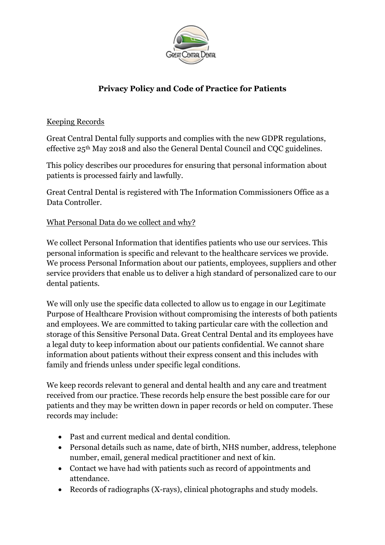

# **Privacy Policy and Code of Practice for Patients**

### Keeping Records

Great Central Dental fully supports and complies with the new GDPR regulations, effective 25th May 2018 and also the General Dental Council and CQC guidelines.

This policy describes our procedures for ensuring that personal information about patients is processed fairly and lawfully.

Great Central Dental is registered with The Information Commissioners Office as a Data Controller.

## What Personal Data do we collect and why?

We collect Personal Information that identifies patients who use our services. This personal information is specific and relevant to the healthcare services we provide. We process Personal Information about our patients, employees, suppliers and other service providers that enable us to deliver a high standard of personalized care to our dental patients.

We will only use the specific data collected to allow us to engage in our Legitimate Purpose of Healthcare Provision without compromising the interests of both patients and employees. We are committed to taking particular care with the collection and storage of this Sensitive Personal Data. Great Central Dental and its employees have a legal duty to keep information about our patients confidential. We cannot share information about patients without their express consent and this includes with family and friends unless under specific legal conditions.

We keep records relevant to general and dental health and any care and treatment received from our practice. These records help ensure the best possible care for our patients and they may be written down in paper records or held on computer. These records may include:

- Past and current medical and dental condition.
- Personal details such as name, date of birth, NHS number, address, telephone number, email, general medical practitioner and next of kin.
- Contact we have had with patients such as record of appointments and attendance.
- Records of radiographs (X-rays), clinical photographs and study models.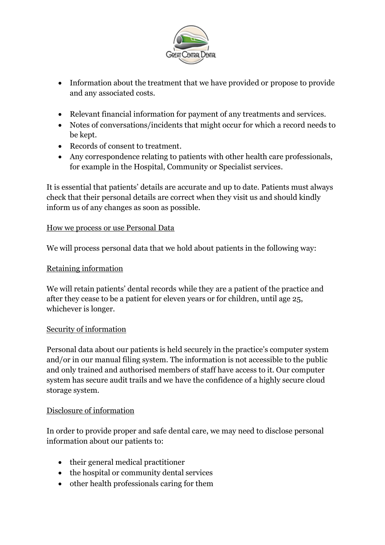

- Information about the treatment that we have provided or propose to provide and any associated costs.
- Relevant financial information for payment of any treatments and services.
- Notes of conversations/incidents that might occur for which a record needs to be kept.
- Records of consent to treatment.
- Any correspondence relating to patients with other health care professionals, for example in the Hospital, Community or Specialist services.

It is essential that patients' details are accurate and up to date. Patients must always check that their personal details are correct when they visit us and should kindly inform us of any changes as soon as possible.

## How we process or use Personal Data

We will process personal data that we hold about patients in the following way:

## Retaining information

We will retain patients' dental records while they are a patient of the practice and after they cease to be a patient for eleven years or for children, until age 25, whichever is longer.

#### Security of information

Personal data about our patients is held securely in the practice's computer system and/or in our manual filing system. The information is not accessible to the public and only trained and authorised members of staff have access to it. Our computer system has secure audit trails and we have the confidence of a highly secure cloud storage system.

#### Disclosure of information

In order to provide proper and safe dental care, we may need to disclose personal information about our patients to:

- their general medical practitioner
- the hospital or community dental services
- other health professionals caring for them